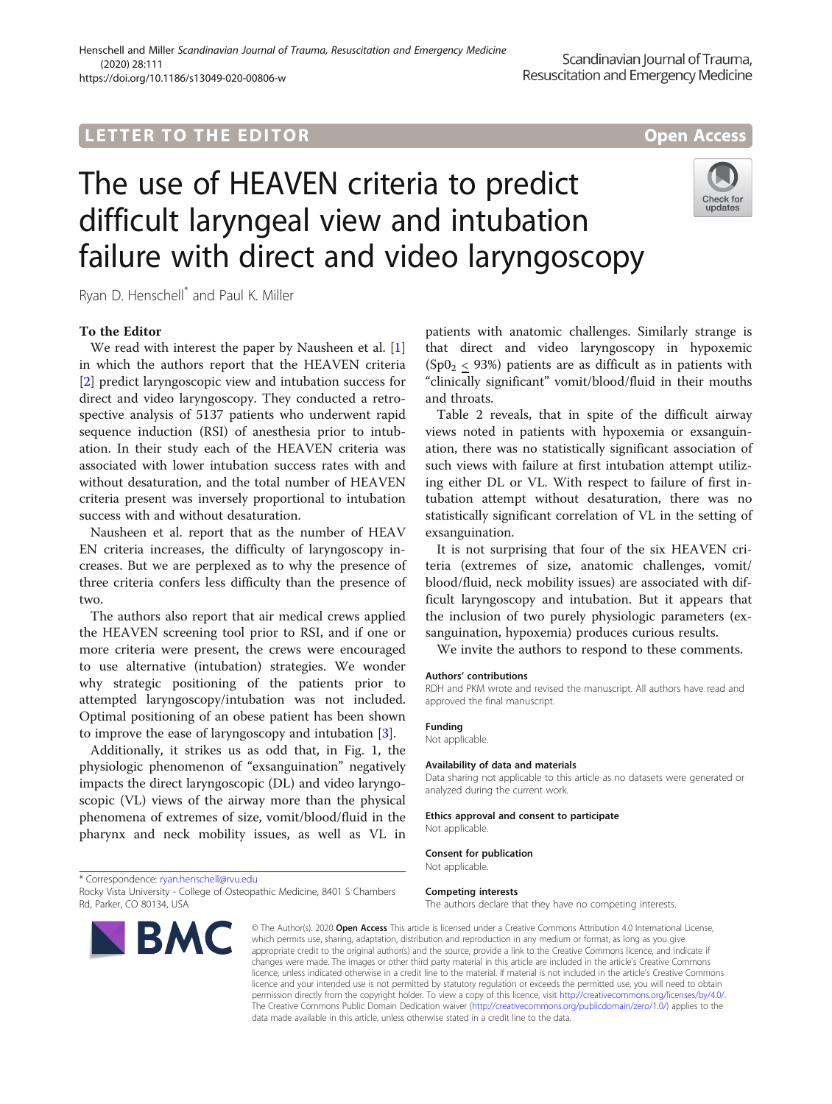## **LETTER TO THE EDITOR CONSIDERING ACCESS**

# The use of HEAVEN criteria to predict difficult laryngeal view and intubation failure with direct and video laryngoscopy



Ryan D. Henschell\* and Paul K. Miller

### To the Editor

We read with interest the paper by Nausheen et al. [\[1](#page-1-0)] in which the authors report that the HEAVEN criteria [[2\]](#page-1-0) predict laryngoscopic view and intubation success for direct and video laryngoscopy. They conducted a retrospective analysis of 5137 patients who underwent rapid sequence induction (RSI) of anesthesia prior to intubation. In their study each of the HEAVEN criteria was associated with lower intubation success rates with and without desaturation, and the total number of HEAVEN criteria present was inversely proportional to intubation success with and without desaturation.

Nausheen et al. report that as the number of HEAV EN criteria increases, the difficulty of laryngoscopy increases. But we are perplexed as to why the presence of three criteria confers less difficulty than the presence of two.

The authors also report that air medical crews applied the HEAVEN screening tool prior to RSI, and if one or more criteria were present, the crews were encouraged to use alternative (intubation) strategies. We wonder why strategic positioning of the patients prior to attempted laryngoscopy/intubation was not included. Optimal positioning of an obese patient has been shown to improve the ease of laryngoscopy and intubation [[3](#page-1-0)].

Additionally, it strikes us as odd that, in Fig. 1, the physiologic phenomenon of "exsanguination" negatively impacts the direct laryngoscopic (DL) and video laryngoscopic (VL) views of the airway more than the physical phenomena of extremes of size, vomit/blood/fluid in the pharynx and neck mobility issues, as well as VL in

\* Correspondence: [ryan.henschell@rvu.edu](mailto:ryan.henschell@rvu.edu)

**BMC** 

patients with anatomic challenges. Similarly strange is that direct and video laryngoscopy in hypoxemic  $(Sp0<sub>2</sub> < 93%)$  patients are as difficult as in patients with "clinically significant" vomit/blood/fluid in their mouths and throats.

Table 2 reveals, that in spite of the difficult airway views noted in patients with hypoxemia or exsanguination, there was no statistically significant association of such views with failure at first intubation attempt utilizing either DL or VL. With respect to failure of first intubation attempt without desaturation, there was no statistically significant correlation of VL in the setting of exsanguination.

It is not surprising that four of the six HEAVEN criteria (extremes of size, anatomic challenges, vomit/ blood/fluid, neck mobility issues) are associated with difficult laryngoscopy and intubation. But it appears that the inclusion of two purely physiologic parameters (exsanguination, hypoxemia) produces curious results.

We invite the authors to respond to these comments.

#### Authors' contributions

RDH and PKM wrote and revised the manuscript. All authors have read and approved the final manuscript.

#### Funding

Not applicable.

#### Availability of data and materials

Data sharing not applicable to this article as no datasets were generated or analyzed during the current work.

#### Ethics approval and consent to participate

Not applicable.

Consent for publication

Not applicable.

#### Competing interests

The authors declare that they have no competing interests.

© The Author(s), 2020 **Open Access** This article is licensed under a Creative Commons Attribution 4.0 International License, which permits use, sharing, adaptation, distribution and reproduction in any medium or format, as long as you give appropriate credit to the original author(s) and the source, provide a link to the Creative Commons licence, and indicate if changes were made. The images or other third party material in this article are included in the article's Creative Commons licence, unless indicated otherwise in a credit line to the material. If material is not included in the article's Creative Commons licence and your intended use is not permitted by statutory regulation or exceeds the permitted use, you will need to obtain permission directly from the copyright holder. To view a copy of this licence, visit [http://creativecommons.org/licenses/by/4.0/.](http://creativecommons.org/licenses/by/4.0/) The Creative Commons Public Domain Dedication waiver [\(http://creativecommons.org/publicdomain/zero/1.0/](http://creativecommons.org/publicdomain/zero/1.0/)) applies to the data made available in this article, unless otherwise stated in a credit line to the data.

Rocky Vista University - College of Osteopathic Medicine, 8401 S Chambers Rd, Parker, CO 80134, USA